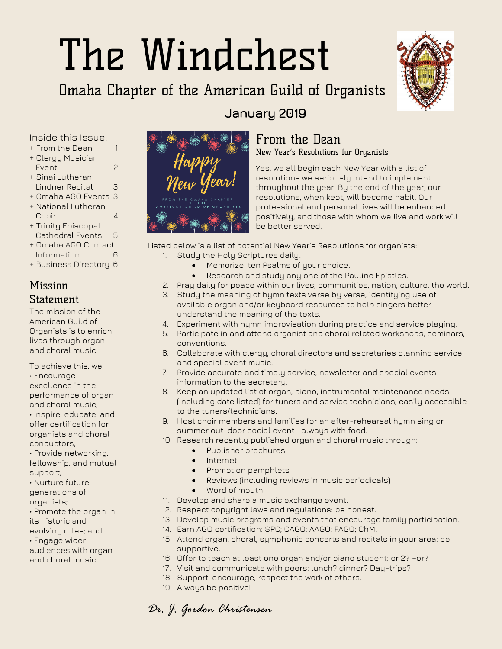# The Windchest

### Omaha Chapter of the American Guild of Organists



Inside this Issue:

- + From the Dean 1
- + Clergy Musician
- Event 2 + Sinai Lutheran
- Lindner Recital 3
- + Omaha AGO Events 3 + National Lutheran
- Choir 4
- + Trinity Episcopal Cathedral Events 5
- + Omaha AGO Contact Information 6
- + Business Directory 6

#### **Missinn** Statement

The mission of the American Guild of Organists is to enrich lives through organ and choral music.

- To achieve this, we: • Encourage excellence in the performance of organ and choral music; • Inspire, educate, and offer certification for organists and choral conductors;
- Provide networking, fellowship, and mutual support;
- Nurture future
- generations of
- organists;
- Promote the organ in
- its historic and
- evolving roles; and
- Engage wider
- audiences with organ and choral music.



#### From the Dean

January 2019

New Year's Resolutions for Organists

Yes, we all begin each New Year with a list of resolutions we seriously intend to implement throughout the year. By the end of the year, our resolutions, when kept, will become habit. Our professional and personal lives will be enhanced positively, and those with whom we live and work will be better served.

Listed below is a list of potential New Year's Resolutions for organists:

- 1. Study the Holy Scriptures daily.
	- Memorize: ten Psalms of your choice.
	- Research and study any one of the Pauline Epistles.
- 2. Pray daily for peace within our lives, communities, nation, culture, the world.
- 3. Study the meaning of hymn texts verse by verse, identifying use of available organ and/or keyboard resources to help singers better understand the meaning of the texts.
- 4. Experiment with hymn improvisation during practice and service playing.
- 5. Participate in and attend organist and choral related workshops, seminars, conventions.
- 6. Collaborate with clergy, choral directors and secretaries planning service and special event music.
- 7. Provide accurate and timely service, newsletter and special events information to the secretary.
- 8. Keep an updated list of organ, piano, instrumental maintenance needs (including date listed) for tuners and service technicians, easily accessible to the tuners/technicians.
- 9. Host choir members and families for an after-rehearsal hymn sing or summer out-door social event—always with food.
- 10. Research recently published organ and choral music through:
	- Publisher brochures
	- **Internet**
	- Promotion pamphlets
	- Reviews (including reviews in music periodicals)
	- Word of mouth
- 11. Develop and share a music exchange event.
- 12. Respect copyright laws and regulations: be honest.
- 13. Develop music programs and events that encourage family participation.
- 14. Earn AGO certification: SPC; CAGO; AAGO; FAGO; ChM.
- 15. Attend organ, choral, symphonic concerts and recitals in your area: be supportive.
- 16. Offer to teach at least one organ and/or piano student: or 2? –or?
- 17. Visit and communicate with peers: lunch? dinner? Day-trips?
- 18. Support, encourage, respect the work of others.
- 19. Always be positive!

*Dr. J. Gordon Christensen*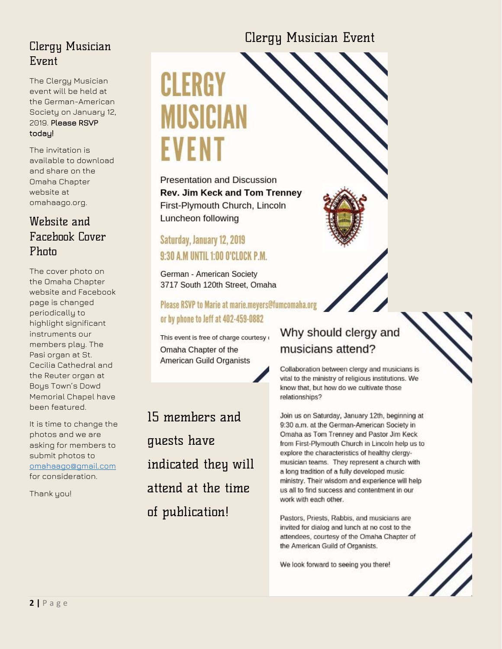#### Clergy Musician Event

The Clergy Musician event will be held at the German-American Society on January 12, 2019. Please RSVP today!

The invitation is available to download and share on the Omaha Chapter website at omahaago.org.

#### Website and Facebook Cover Photo

The cover photo on the Omaha Chapter website and Facebook page is changed periodically to highlight significant instruments our members play. The Pasi organ at St. Cecilia Cathedral and the Reuter organ at Boys Town's Dowd Memorial Chapel have been featured.

It is time to change the photos and we are asking for members to submit photos to [omahaago@gmail.com](mailto:omahaago@gmail.com) for consideration.

Thank you!

## CLERGY MUSIC EVENT

Presentation and Discussion **Rev. Jim Keck and Tom Trenney** First-Plymouth Church, Lincoln Luncheon following

#### Saturday, January 12, 2019 9:30 A.M UNTIL 1:00 O'CLOCK P.M.

German - American Society 3717 South 120th Street, Omaha

Please RSVP to Marie at marie.meyers@fumcomaha.org or by phone to Jeff at 402-459-0882

This event is free of charge courtesy Omaha Chapter of the American Guild Organists

15 members and guests have indicated they will attend at the time of publication!

#### Why should clergy and musicians attend?

Clergy Musician Event

Collaboration between clergy and musicians is vital to the ministry of religious institutions. We know that, but how do we cultivate those relationships?

Join us on Saturday, January 12th, beginning at 9:30 a.m. at the German-American Society in Omaha as Tom Trenney and Pastor Jim Keck from First-Plymouth Church in Lincoln help us to explore the characteristics of healthy clergymusician teams. They represent a church with a long tradition of a fully developed music ministry. Their wisdom and experience will help us all to find success and contentment in our work with each other.

Pastors, Priests, Rabbis, and musicians are invited for dialog and lunch at no cost to the attendees, courtesy of the Omaha Chapter of the American Guild of Organists.

We look forward to seeing you there!

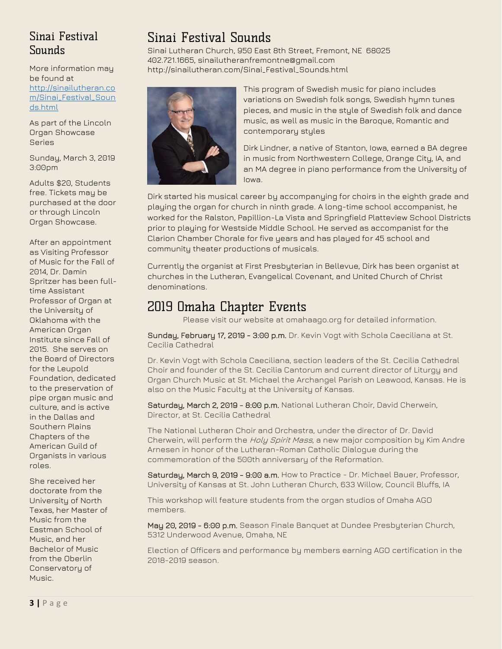#### Sinai Festival **Sounds**

More information may be found at [http://sinailutheran.co](http://sinailutheran.com/Sinai_Festival_Sounds.html) [m/Sinai\\_Festival\\_Soun](http://sinailutheran.com/Sinai_Festival_Sounds.html) [ds.html](http://sinailutheran.com/Sinai_Festival_Sounds.html)

As part of the Lincoln Organ Showcase Series

Sunday, March 3, 2019 3:00pm

Adults \$20, Students free. Tickets may be purchased at the door or through Lincoln Organ Showcase.

After an appointment as Visiting Professor of Music for the Fall of 2014, Dr. Damin Spritzer has been fulltime Assistant Professor of Organ at the University of Oklahoma with the American Organ Institute since Fall of 2015. She serves on the Board of Directors for the Leupold Foundation, dedicated to the preservation of pipe organ music and culture, and is active in the Dallas and Southern Plains Chapters of the American Guild of Organists in various roles.

She received her doctorate from the University of North Texas, her Master of Music from the Eastman School of Music, and her Bachelor of Music from the Oberlin Conservatory of Music.

#### Sinai Festival Sounds

Sinai Lutheran Church, 950 East 8th Street, Fremont, NE 68025 402.721.1665, sinailutheranfremontne@gmail.com [http://sinailutheran.com/Sinai\\_Festival\\_Sounds.html](http://sinailutheran.com/Sinai_Festival_Sounds.html)



This program of Swedish music for piano includes variations on Swedish folk songs, Swedish hymn tunes pieces, and music in the style of Swedish folk and dance music, as well as music in the Baroque, Romantic and contemporary styles

Dirk Lindner, a native of Stanton, Iowa, earned a BA degree in music from Northwestern College, Orange City, IA, and an MA degree in piano performance from the University of Iowa.

Dirk started his musical career by accompanying for choirs in the eighth grade and playing the organ for church in ninth grade. A long-time school accompanist, he worked for the Ralston, Papillion-La Vista and Springfield Platteview School Districts prior to playing for Westside Middle School. He served as accompanist for the Clarion Chamber Chorale for five years and has played for 45 school and community theater productions of musicals.

Currently the organist at First Presbyterian in Bellevue, Dirk has been organist at churches in the Lutheran, Evangelical Covenant, and United Church of Christ denominations.

#### 2019 Omaha Chapter Events

Please visit our website at omahaago.org for detailed information.

Sunday, February 17, 2019 - 3:00 p.m. Dr. Kevin Vogt with Schola Caeciliana at St. Cecilia Cathedral

Dr. Kevin Vogt with Schola Caeciliana, section leaders of the St. Cecilia Cathedral Choir and founder of the St. Cecilia Cantorum and current director of Liturgy and Organ Church Music at St. Michael the Archangel Parish on Leawood, Kansas. He is also on the Music Faculty at the University of Kansas.

Saturday, March 2, 2019 - 8:00 p.m. National Lutheran Choir, David Cherwein, Director, at St. Cecilia Cathedral

The National Lutheran Choir and Orchestra, under the director of Dr. David Cherwein, will perform the Holy Spirit Mass, a new major composition by Kim Andre Arnesen in honor of the Lutheran-Roman Catholic Dialogue during the commemoration of the 500th anniversary of the Reformation.

Saturday, March 9, 2019 - 9:00 a.m. How to Practice - Dr. Michael Bauer, Professor, University of Kansas at St. John Lutheran Church, 633 Willow, Council Bluffs, IA

This workshop will feature students from the organ studios of Omaha AGO members.

May 20, 2019 - 6:00 p.m. Season Finale Banquet at Dundee Presbyterian Church, 5312 Underwood Avenue, Omaha, NE

Election of Officers and performance by members earning AGO certification in the 2018-2019 season.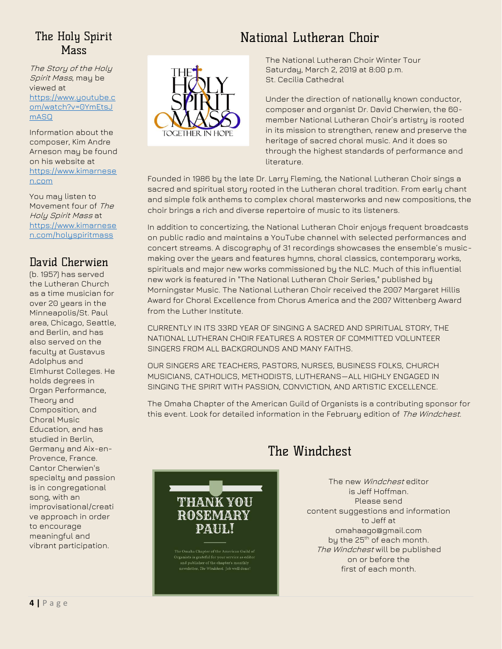#### The Holy Spirit **Mass**

The Story of the Holy Spirit Mass, may be viewed at [https://www.youtube.c](https://www.youtube.com/watch?v=0YmEtsJmASQ) [om/watch?v=0YmEtsJ](https://www.youtube.com/watch?v=0YmEtsJmASQ) [mASQ](https://www.youtube.com/watch?v=0YmEtsJmASQ)

Information about the composer, Kim Andre Arneson may be found on his website at [https://www.kimarnese](https://www.kimarnesen.com/) [n.com](https://www.kimarnesen.com/)

You may listen to Movement four of The Holy Spirit Mass at [https://www.kimarnese](https://www.kimarnesen.com/holyspiritmass) [n.com/holyspiritmass](https://www.kimarnesen.com/holyspiritmass)

#### David Cherwien

(b. 1957) has served the Lutheran Church as a time musician for over 20 years in the Minneapolis/St. Paul area, Chicago, Seattle, and Berlin, and has also served on the faculty at Gustavus Adolphus and Elmhurst Colleges. He holds degrees in Organ Performance, Theory and Composition, and Choral Music Education, and has studied in Berlin, Germany and Aix-en-Provence, France. Cantor Cherwien's specialty and passion is in congregational song, with an improvisational/creati ve approach in order to encourage meaningful and vibrant participation.



#### National Lutheran Choir

The National Lutheran Choir Winter Tour Saturday, March 2, 2019 at 8:00 p.m. St. Cecilia Cathedral

Under the direction of nationally known conductor, composer and organist Dr. David Cherwien, the 60 member National Lutheran Choir's artistry is rooted in its mission to strengthen, renew and preserve the heritage of sacred choral music. And it does so through the highest standards of performance and literature.

Founded in 1986 by the late Dr. Larry Fleming, the National Lutheran Choir sings a sacred and spiritual story rooted in the Lutheran choral tradition. From early chant and simple folk anthems to complex choral masterworks and new compositions, the choir brings a rich and diverse repertoire of music to its listeners.

In addition to concertizing, the National Lutheran Choir enjoys frequent broadcasts on public radio and maintains a YouTube channel with selected performances and concert streams. A discography of 31 recordings showcases the ensemble's musicmaking over the years and features hymns, choral classics, contemporary works, spirituals and major new works commissioned by the NLC. Much of this influential new work is featured in "The National Lutheran Choir Series," published by Morningstar Music. The National Lutheran Choir received the 2007 Margaret Hillis Award for Choral Excellence from Chorus America and the 2007 Wittenberg Award from the Luther Institute.

CURRENTLY IN ITS 33RD YEAR OF SINGING A SACRED AND SPIRITUAL STORY, THE NATIONAL LUTHERAN CHOIR FEATURES A ROSTER OF COMMITTED VOLUNTEER SINGERS FROM ALL BACKGROUNDS AND MANY FAITHS.

OUR SINGERS ARE TEACHERS, PASTORS, NURSES, BUSINESS FOLKS, CHURCH MUSICIANS, CATHOLICS, METHODISTS, LUTHERANS—ALL HIGHLY ENGAGED IN SINGING THE SPIRIT WITH PASSION, CONVICTION, AND ARTISTIC EXCELLENCE.

The Omaha Chapter of the American Guild of Organists is a contributing sponsor for this event. Look for detailed information in the February edition of The Windchest.



Organists is grateful for your service as editor<br>and publisher of the chapter's monthly .<br>newsletter, *The Windchest*. Job well done!

#### The Windchest

The new Windchest editor is Jeff Hoffman. Please send content suggestions and information to Jeff at [omahaago@gmail.com](mailto:omahaago@gmail.com) by the 25<sup>th</sup> of each month. The Windchest will be published on or before the first of each month.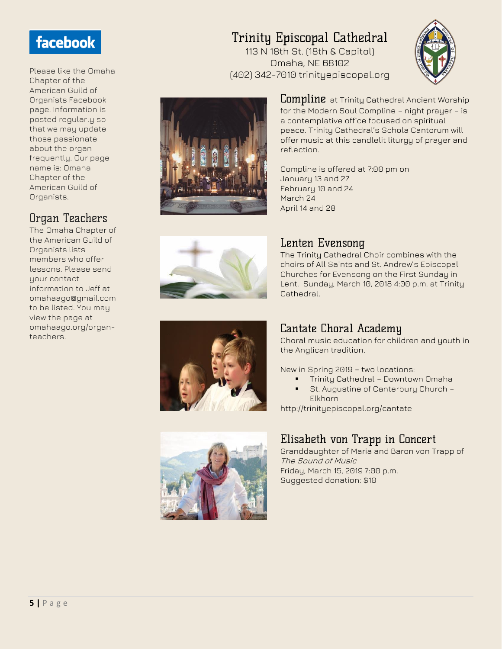#### facebook

Please like the Omaha Chapter of the American Guild of Organists Facebook page. Information is posted regularly so that we may update those passionate about the organ frequently. Our page name is: Omaha Chapter of the American Guild of Organists.

#### Organ Teachers

The Omaha Chapter of the American Guild of Organists lists members who offer lessons. Please send your contact information to Jeff at omahaago@gmail.com to be listed. You may view the page at omahaago.org/organteachers.

#### Trinity Episcopal Cathedral

113 N 18th St. (18th & Capitol) Omaha, NE 68102 (402) 342-7010 trinityepiscopal.org





**Lompline** at Trinity Cathedral Ancient Worship for the Modern Soul Compline – night prayer – is a contemplative office focused on spiritual peace. Trinity Cathedral's Schola Cantorum will offer music at this candlelit liturgy of prayer and reflection.

Compline is offered at 7:00 pm on January 13 and 27 February 10 and 24 March 24 April 14 and 28

Lenten Evensong

Cathedral.



#### Cantate Choral Academy

Choral music education for children and youth in the Anglican tradition.

The Trinity Cathedral Choir combines with the choirs of All Saints and St. Andrew's Episcopal Churches for Evensong on the First Sunday in Lent. Sunday, March 10, 2018 4:00 p.m. at Trinity

New in Spring 2019 – two locations:

- **•** Trinity Cathedral Downtown Omaha
- St. Augustine of Canterbury Church -Elkhorn

http://trinityepiscopal.org/cantate

#### Elisabeth von Trapp in Concert

Granddaughter of Maria and Baron von Trapp of The Sound of Music Friday, March 15, 2019 7:00 p.m. Suggested donation: \$10